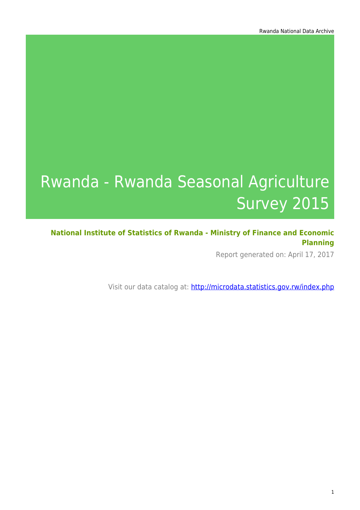# Rwanda - Rwanda Seasonal Agriculture Survey 2015

**National Institute of Statistics of Rwanda - Ministry of Finance and Economic Planning**

Report generated on: April 17, 2017

Visit our data catalog at: http://microdata.statistics.gov.rw/index.php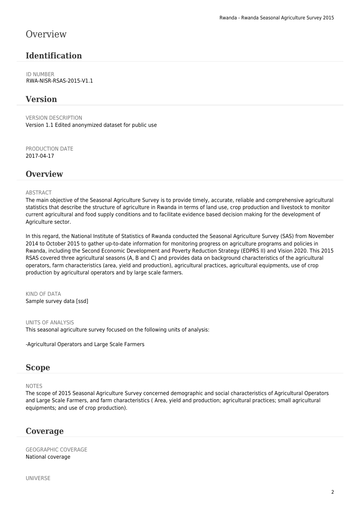#### **Overview**

#### **Identification**

ID NUMBER RWA-NISR-RSAS-2015-V1.1

#### **Version**

VERSION DESCRIPTION Version 1.1 Edited anonymized dataset for public use

PRODUCTION DATE 2017-04-17

#### **Overview**

#### **ABSTRACT**

The main objective of the Seasonal Agriculture Survey is to provide timely, accurate, reliable and comprehensive agricultural statistics that describe the structure of agriculture in Rwanda in terms of land use, crop production and livestock to monitor current agricultural and food supply conditions and to facilitate evidence based decision making for the development of Agriculture sector.

In this regard, the National Institute of Statistics of Rwanda conducted the Seasonal Agriculture Survey (SAS) from November 2014 to October 2015 to gather up-to-date information for monitoring progress on agriculture programs and policies in Rwanda, including the Second Economic Development and Poverty Reduction Strategy (EDPRS II) and Vision 2020. This 2015 RSAS covered three agricultural seasons (A, B and C) and provides data on background characteristics of the agricultural operators, farm characteristics (area, yield and production), agricultural practices, agricultural equipments, use of crop production by agricultural operators and by large scale farmers.

KIND OF DATA Sample survey data [ssd]

UNITS OF ANALYSIS This seasonal agriculture survey focused on the following units of analysis:

-Agricultural Operators and Large Scale Farmers

#### **Scope**

#### NOTES

The scope of 2015 Seasonal Agriculture Survey concerned demographic and social characteristics of Agricultural Operators and Large Scale Farmers, and farm characteristics ( Area, yield and production; agricultural practices; small agricultural equipments; and use of crop production).

#### **Coverage**

GEOGRAPHIC COVERAGE National coverage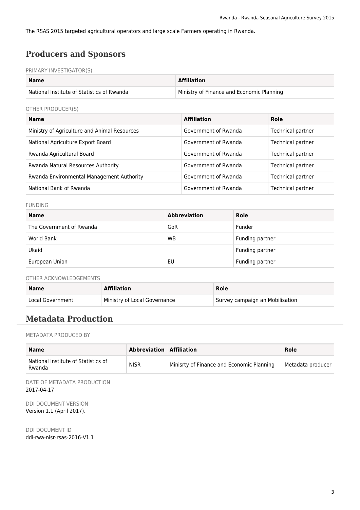The RSAS 2015 targeted agricultural operators and large scale Farmers operating in Rwanda.

### **Producers and Sponsors**

PRIMARY INVESTIGATOR(S)

| <b>Name</b>                                | <b>Affiliation</b>                        |
|--------------------------------------------|-------------------------------------------|
| National Institute of Statistics of Rwanda | Ministry of Finance and Economic Planning |

OTHER PRODUCER(S)

| <b>Name</b>                                  | <b>Affiliation</b>   | Role              |
|----------------------------------------------|----------------------|-------------------|
| Ministry of Agriculture and Animal Resources | Government of Rwanda | Technical partner |
| National Agriculture Export Board            | Government of Rwanda | Technical partner |
| Rwanda Agricultural Board                    | Government of Rwanda | Technical partner |
| Rwanda Natural Resources Authority           | Government of Rwanda | Technical partner |
| Rwanda Environmental Management Authority    | Government of Rwanda | Technical partner |
| National Bank of Rwanda                      | Government of Rwanda | Technical partner |

#### FUNDING

| <b>Name</b>              | <b>Abbreviation</b> | Role            |
|--------------------------|---------------------|-----------------|
| The Government of Rwanda | GoR                 | Funder          |
| World Bank               | <b>WB</b>           | Funding partner |
| Ukaid                    |                     | Funding partner |
| European Union           | EU                  | Funding partner |

#### OTHER ACKNOWLEDGEMENTS

| <b>Name</b>      | <b>Affiliation</b>           | Role                            |
|------------------|------------------------------|---------------------------------|
| Local Government | Ministry of Local Governance | Survey campaign an Mobilisation |

### **Metadata Production**

METADATA PRODUCED BY

| <b>Name</b>                                   | Abbreviation Affiliation |                                           | Role              |
|-----------------------------------------------|--------------------------|-------------------------------------------|-------------------|
| National Institute of Statistics of<br>Rwanda | <b>NISR</b>              | Minisrty of Finance and Economic Planning | Metadata producer |

DATE OF METADATA PRODUCTION 2017-04-17

DDI DOCUMENT VERSION Version 1.1 (April 2017).

DDI DOCUMENT ID ddi-rwa-nisr-rsas-2016-V1.1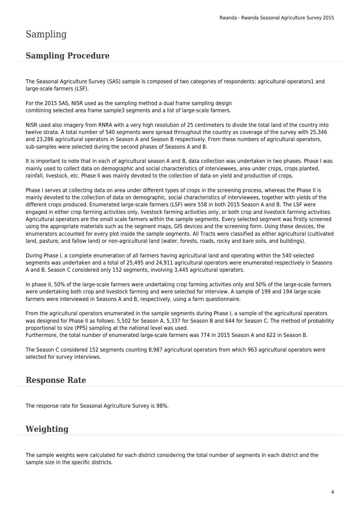### Sampling

#### **Sampling Procedure**

The Seasonal Agriculture Survey (SAS) sample is composed of two categories of respondents: agricultural operators1 and large-scale farmers (LSF).

For the 2015 SAS, NISR used as the sampling method a dual frame sampling design combining selected area frame sample3 segments and a list of large-scale farmers.

NISR used also imagery from RNRA with a very high resolution of 25 centimeters to divide the total land of the country into twelve strata. A total number of 540 segments were spread throughout the country as coverage of the survey with 25,346 and 23,286 agricultural operators in Season A and Season B respectively. From these numbers of agricultural operators, sub-samples were selected during the second phases of Seasons A and B.

It is important to note that in each of agricultural season A and B, data collection was undertaken in two phases. Phase I was mainly used to collect data on demographic and social characteristics of interviewees, area under crops, crops planted, rainfall, livestock, etc. Phase II was mainly devoted to the collection of data on yield and production of crops.

Phase I serves at collecting data on area under different types of crops in the screening process, whereas the Phase II is mainly devoted to the collection of data on demographic, social characteristics of interviewees, together with yields of the different crops produced. Enumerated large-scale farmers (LSF) were 558 in both 2015 Season A and B. The LSF were engaged in either crop farming activities only, livestock farming activities only, or both crop and livestock farming activities. Agricultural operators are the small scale farmers within the sample segments. Every selected segment was firstly screened using the appropriate materials such as the segment maps, GIS devices and the screening form. Using these devices, the enumerators accounted for every plot inside the sample segments. All Tracts were classified as either agricultural (cultivated land, pasture, and fallow land) or non-agricultural land (water, forests, roads, rocky and bare soils, and buildings).

During Phase I, a complete enumeration of all farmers having agricultural land and operating within the 540 selected segments was undertaken and a total of 25,495 and 24,911 agricultural operators were enumerated respectively in Seasons A and B. Season C considered only 152 segments, involving 3,445 agricultural operators.

In phase II, 50% of the large-scale farmers were undertaking crop farming activities only and 50% of the large-scale farmers were undertaking both crop and livestock farming and were selected for interview. A sample of 199 and 194 large-scale farmers were interviewed in Seasons A and B, respectively, using a farm questionnaire.

From the agricultural operators enumerated in the sample segments during Phase I, a sample of the agricultural operators was designed for Phase II as follows: 5,502 for Season A, 5,337 for Season B and 644 for Season C. The method of probability proportional to size (PPS) sampling at the national level was used. Furthermore, the total number of enumerated large-scale farmers was 774 in 2015 Season A and 622 in Season B.

The Season C considered 152 segments counting 8,987 agricultural operators from which 963 agricultural operators were selected for survey interviews.

#### **Response Rate**

The response rate for Seasonal Agriculture Survey is 98%.

#### **Weighting**

The sample weights were calculated for each district considering the total number of segments in each district and the sample size in the specific districts.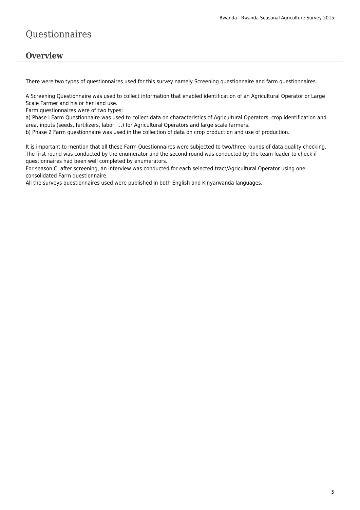## Questionnaires

#### **Overview**

There were two types of questionnaires used for this survey namely Screening questionnaire and farm questionnaires.

A Screening Questionnaire was used to collect information that enabled identification of an Agricultural Operator or Large Scale Farmer and his or her land use.

Farm questionnaires were of two types:

a) Phase I Farm Questionnaire was used to collect data on characteristics of Agricultural Operators, crop identification and area, inputs (seeds, fertilizers, labor, …) for Agricultural Operators and large scale farmers.

b) Phase 2 Farm questionnaire was used in the collection of data on crop production and use of production.

It is important to mention that all these Farm Questionnaires were subjected to two/three rounds of data quality checking. The first round was conducted by the enumerator and the second round was conducted by the team leader to check if questionnaires had been well completed by enumerators.

For season C, after screening, an interview was conducted for each selected tract/Agricultural Operator using one consolidated Farm questionnaire.

All the surveys questionnaires used were published in both English and Kinyarwanda languages.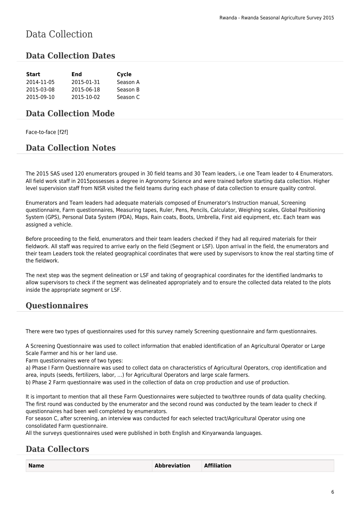### Data Collection

#### **Data Collection Dates**

| Start      | End        | Cycle    |
|------------|------------|----------|
| 2014-11-05 | 2015-01-31 | Season A |
| 2015-03-08 | 2015-06-18 | Season B |
| 2015-09-10 | 2015-10-02 | Season C |

#### **Data Collection Mode**

Face-to-face [f2f]

#### **Data Collection Notes**

The 2015 SAS used 120 enumerators grouped in 30 field teams and 30 Team leaders, i.e one Team leader to 4 Enumerators. All field work staff in 2015possesses a degree in Agronomy Science and were trained before starting data collection. Higher level supervision staff from NISR visited the field teams during each phase of data collection to ensure quality control.

Enumerators and Team leaders had adequate materials composed of Enumerator's Instruction manual, Screening questionnaire, Farm questionnaires, Measuring tapes, Ruler, Pens, Pencils, Calculator, Weighing scales, Global Positioning System (GPS), Personal Data System (PDA), Maps, Rain coats, Boots, Umbrella, First aid equipment, etc. Each team was assigned a vehicle.

Before proceeding to the field, enumerators and their team leaders checked if they had all required materials for their fieldwork. All staff was required to arrive early on the field (Segment or LSF). Upon arrival in the field, the enumerators and their team Leaders took the related geographical coordinates that were used by supervisors to know the real starting time of the fieldwork.

The next step was the segment delineation or LSF and taking of geographical coordinates for the identified landmarks to allow supervisors to check if the segment was delineated appropriately and to ensure the collected data related to the plots inside the appropriate segment or LSF.

#### **Questionnaires**

There were two types of questionnaires used for this survey namely Screening questionnaire and farm questionnaires.

A Screening Questionnaire was used to collect information that enabled identification of an Agricultural Operator or Large Scale Farmer and his or her land use.

Farm questionnaires were of two types:

a) Phase I Farm Questionnaire was used to collect data on characteristics of Agricultural Operators, crop identification and area, inputs (seeds, fertilizers, labor, …) for Agricultural Operators and large scale farmers.

b) Phase 2 Farm questionnaire was used in the collection of data on crop production and use of production.

It is important to mention that all these Farm Questionnaires were subjected to two/three rounds of data quality checking. The first round was conducted by the enumerator and the second round was conducted by the team leader to check if questionnaires had been well completed by enumerators.

For season C, after screening, an interview was conducted for each selected tract/Agricultural Operator using one consolidated Farm questionnaire.

All the surveys questionnaires used were published in both English and Kinyarwanda languages.

#### **Data Collectors**

| <b>Name</b> | <b>Abbreviation</b><br>. | <b>Affiliation</b> |
|-------------|--------------------------|--------------------|
|-------------|--------------------------|--------------------|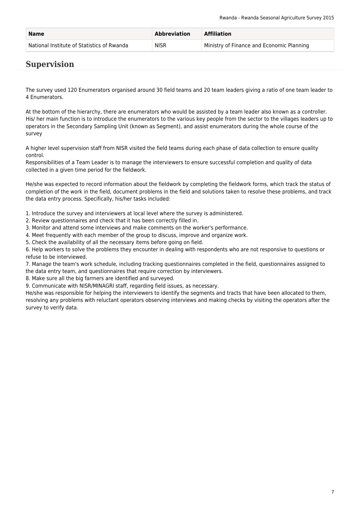| <b>Name</b>                                | Abbreviation | <b>Affiliation</b>                        |
|--------------------------------------------|--------------|-------------------------------------------|
| National Institute of Statistics of Rwanda | <b>NISR</b>  | Ministry of Finance and Economic Planning |

#### **Supervision**

The survey used 120 Enumerators organised around 30 field teams and 20 team leaders giving a ratio of one team leader to 4 Enumerators.

At the bottom of the hierarchy, there are enumerators who would be assisted by a team leader also known as a controller. His/ her main function is to introduce the enumerators to the various key people from the sector to the villages leaders up to operators in the Secondary Sampling Unit (known as Segment), and assist enumerators during the whole course of the survey

A higher level supervision staff from NISR visited the field teams during each phase of data collection to ensure quality control.

Responsibilities of a Team Leader is to manage the interviewers to ensure successful completion and quality of data collected in a given time period for the fieldwork.

He/she was expected to record information about the fieldwork by completing the fieldwork forms, which track the status of completion of the work in the field, document problems in the field and solutions taken to resolve these problems, and track the data entry process. Specifically, his/her tasks included:

1. Introduce the survey and interviewers at local level where the survey is administered.

- 2. Review questionnaires and check that it has been correctly filled in.
- 3. Monitor and attend some interviews and make comments on the worker's performance.
- 4. Meet frequently with each member of the group to discuss, improve and organize work.
- 5. Check the availability of all the necessary items before going on field.

6. Help workers to solve the problems they encounter in dealing with respondents who are not responsive to questions or refuse to be interviewed.

7. Manage the team's work schedule, including tracking questionnaires completed in the field, questionnaires assigned to the data entry team, and questionnaires that require correction by interviewers.

8. Make sure all the big farmers are identified and surveyed.

9. Communicate with NISR/MINAGRI staff, regarding field issues, as necessary.

He/she was responsible for helping the interviewers to identify the segments and tracts that have been allocated to them, resolving any problems with reluctant operators observing interviews and making checks by visiting the operators after the survey to verify data.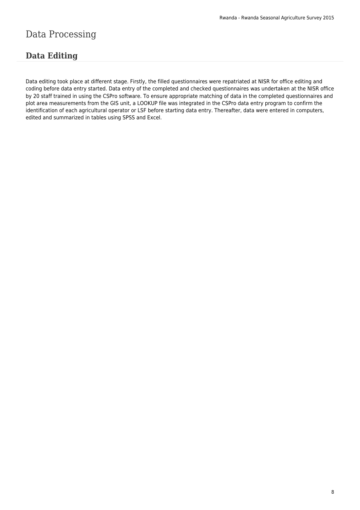### Data Processing

#### **Data Editing**

Data editing took place at different stage. Firstly, the filled questionnaires were repatriated at NISR for office editing and coding before data entry started. Data entry of the completed and checked questionnaires was undertaken at the NISR office by 20 staff trained in using the CSPro software. To ensure appropriate matching of data in the completed questionnaires and plot area measurements from the GIS unit, a LOOKUP file was integrated in the CSPro data entry program to confirm the identification of each agricultural operator or LSF before starting data entry. Thereafter, data were entered in computers, edited and summarized in tables using SPSS and Excel.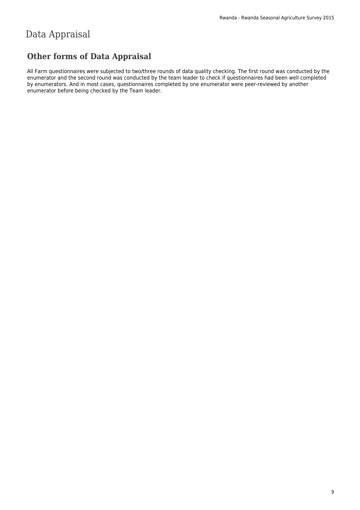### Data Appraisal

### **Other forms of Data Appraisal**

All Farm questionnaires were subjected to two/three rounds of data quality checking. The first round was conducted by the enumerator and the second round was conducted by the team leader to check if questionnaires had been well completed by enumerators. And in most cases, questionnaires completed by one enumerator were peer-reviewed by another enumerator before being checked by the Team leader.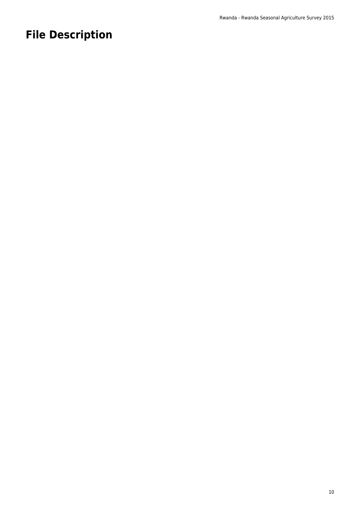# **File Description**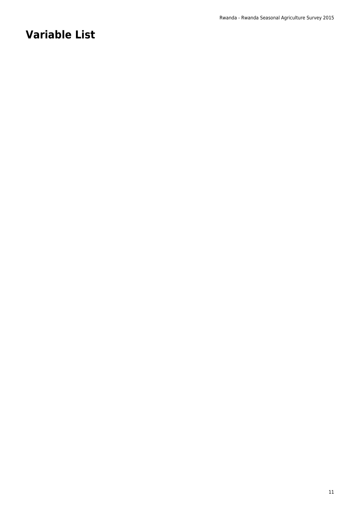# **Variable List**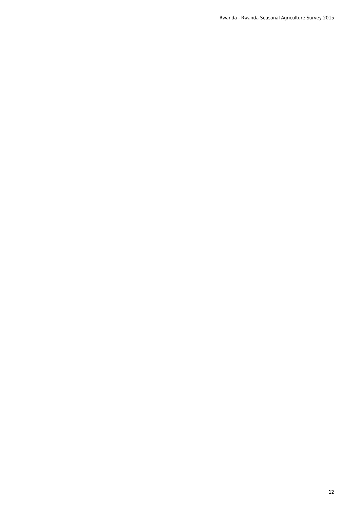Rwanda - Rwanda Seasonal Agriculture Survey 2015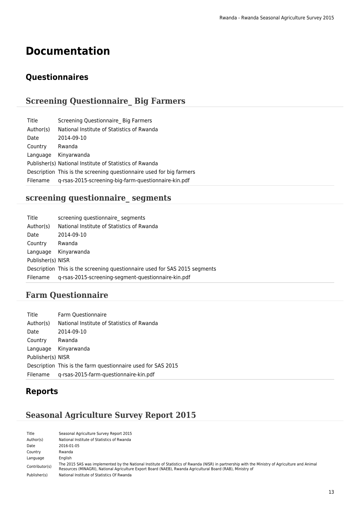# **Documentation**

#### **Questionnaires**

### **Screening Questionnaire\_ Big Farmers**

| Screening Questionnaire Big Farmers                                  |
|----------------------------------------------------------------------|
| National Institute of Statistics of Rwanda                           |
| 2014-09-10                                                           |
| Rwanda                                                               |
| Kinyarwanda                                                          |
| Publisher(s) National Institute of Statistics of Rwanda              |
| Description This is the screening questionnaire used for big farmers |
| q-rsas-2015-screening-big-farm-questionnaire-kin.pdf                 |
|                                                                      |

### **screening questionnaire\_ segments**

| Title             | screening questionnaire segments                                           |
|-------------------|----------------------------------------------------------------------------|
| Author(s)         | National Institute of Statistics of Rwanda                                 |
| Date              | 2014-09-10                                                                 |
| Country           | Rwanda                                                                     |
| Language          | Kinyarwanda                                                                |
| Publisher(s) NISR |                                                                            |
|                   | Description This is the screening questionnaire used for SAS 2015 segments |
| Filename          | g-rsas-2015-screening-segment-questionnaire-kin.pdf                        |

#### **Farm Questionnaire**

| Title             | <b>Farm Questionnaire</b>                                    |
|-------------------|--------------------------------------------------------------|
| Author(s)         | National Institute of Statistics of Rwanda                   |
| Date              | 2014-09-10                                                   |
| Country           | Rwanda                                                       |
| Language          | Kinyarwanda                                                  |
| Publisher(s) NISR |                                                              |
|                   | Description This is the farm questionnaire used for SAS 2015 |
| Filename          | g-rsas-2015-farm-questionnaire-kin.pdf                       |

### **Reports**

### **Seasonal Agriculture Survey Report 2015**

| Title          | Seasonal Agriculture Survey Report 2015                                                                                                                                                                                                                         |
|----------------|-----------------------------------------------------------------------------------------------------------------------------------------------------------------------------------------------------------------------------------------------------------------|
| Author(s)      | National Institute of Statistics of Rwanda                                                                                                                                                                                                                      |
| Date           | 2016-01-05                                                                                                                                                                                                                                                      |
| Country        | Rwanda                                                                                                                                                                                                                                                          |
| Language       | Enalish                                                                                                                                                                                                                                                         |
| Contributor(s) | The 2015 SAS was implemented by the National Institute of Statistics of Rwanda (NISR) in partnership with the Ministry of Agriculture and Animal<br>Resources (MINAGRI), National Agriculture Export Board (NAEB), Rwanda Agricultural Board (RAB), Ministry of |
| Publisher(s)   | National Institute of Statistics Of Rwanda                                                                                                                                                                                                                      |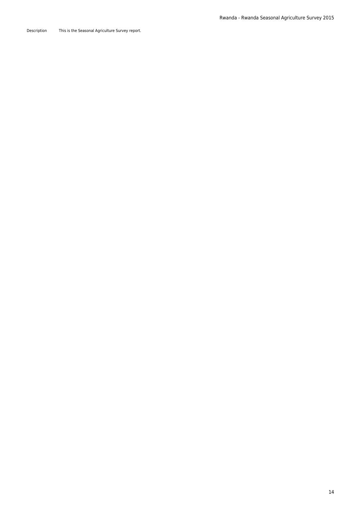Description This is the Seasonal Agriculture Survey report.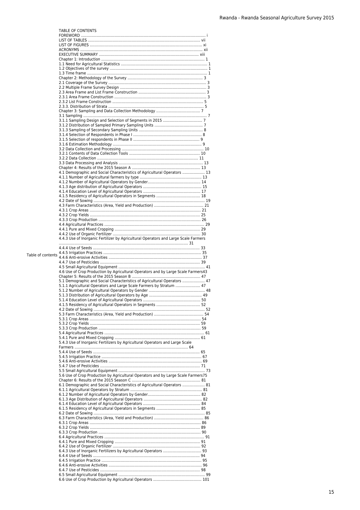|                   | <b>TABLE OF CONTENTS</b>                                                            |  |
|-------------------|-------------------------------------------------------------------------------------|--|
|                   |                                                                                     |  |
|                   |                                                                                     |  |
|                   |                                                                                     |  |
|                   |                                                                                     |  |
|                   |                                                                                     |  |
|                   |                                                                                     |  |
|                   |                                                                                     |  |
|                   |                                                                                     |  |
|                   |                                                                                     |  |
|                   |                                                                                     |  |
|                   |                                                                                     |  |
|                   |                                                                                     |  |
|                   |                                                                                     |  |
|                   |                                                                                     |  |
|                   |                                                                                     |  |
|                   |                                                                                     |  |
|                   |                                                                                     |  |
|                   |                                                                                     |  |
|                   |                                                                                     |  |
|                   |                                                                                     |  |
|                   |                                                                                     |  |
|                   | 4.1 Demographic and Social Characteristics of Agricultural Operators  13            |  |
|                   |                                                                                     |  |
|                   |                                                                                     |  |
|                   |                                                                                     |  |
|                   |                                                                                     |  |
|                   |                                                                                     |  |
|                   |                                                                                     |  |
|                   |                                                                                     |  |
|                   |                                                                                     |  |
|                   |                                                                                     |  |
|                   | 4.4.3 Use of Inorganic Fertilizer by Agricultural Operators and Large Scale Farmers |  |
|                   |                                                                                     |  |
|                   |                                                                                     |  |
| Table of contents |                                                                                     |  |
|                   |                                                                                     |  |
|                   |                                                                                     |  |
|                   | 4.6 Use of Crop Production by Agricultural Operators and by Large Scale Farmers43   |  |
|                   | 5.1 Demographic and Social Characteristics of Agricultural Operators  47            |  |
|                   | 5.1.1 Agricultural Operators and Large Scale Farmers by Stratum  47                 |  |
|                   |                                                                                     |  |
|                   |                                                                                     |  |
|                   |                                                                                     |  |
|                   |                                                                                     |  |
|                   |                                                                                     |  |
|                   |                                                                                     |  |
|                   |                                                                                     |  |
|                   |                                                                                     |  |
|                   | 5.4.3 Use of Inorganic Fertilizers by Agricultural Operators and Large Scale        |  |
|                   |                                                                                     |  |
|                   |                                                                                     |  |
|                   |                                                                                     |  |
|                   |                                                                                     |  |
|                   | 5.6 Use of Crop Production by Agricultural Operators and by Large Scale Farmers75   |  |
|                   | 6.1 Demographic and Social Characteristics of Agricultural Operators  81            |  |
|                   |                                                                                     |  |
|                   |                                                                                     |  |
|                   |                                                                                     |  |
|                   |                                                                                     |  |
|                   |                                                                                     |  |
|                   |                                                                                     |  |
|                   |                                                                                     |  |
|                   |                                                                                     |  |
|                   |                                                                                     |  |
|                   |                                                                                     |  |
|                   |                                                                                     |  |
|                   |                                                                                     |  |
|                   |                                                                                     |  |
|                   |                                                                                     |  |
|                   |                                                                                     |  |